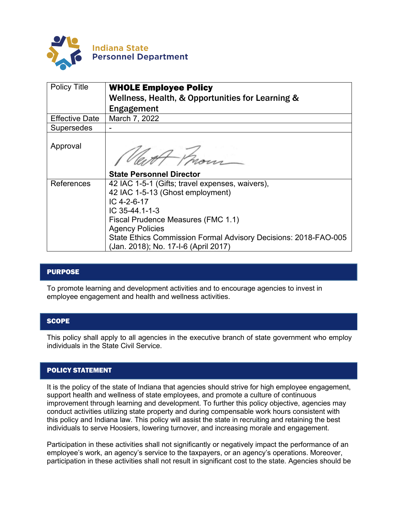

| <b>Policy Title</b>   | <b>WHOLE Employee Policy</b><br>Wellness, Health, & Opportunities for Learning &                        |
|-----------------------|---------------------------------------------------------------------------------------------------------|
|                       | Engagement                                                                                              |
| <b>Effective Date</b> | March 7, 2022                                                                                           |
| <b>Supersedes</b>     |                                                                                                         |
| Approval              |                                                                                                         |
|                       | <b>State Personnel Director</b>                                                                         |
| References            | 42 IAC 1-5-1 (Gifts; travel expenses, waivers),                                                         |
|                       | 42 IAC 1-5-13 (Ghost employment)                                                                        |
|                       | IC 4-2-6-17                                                                                             |
|                       | IC 35-44.1-1-3                                                                                          |
|                       | Fiscal Prudence Measures (FMC 1.1)                                                                      |
|                       | <b>Agency Policies</b>                                                                                  |
|                       | State Ethics Commission Formal Advisory Decisions: 2018-FAO-005<br>(Jan. 2018); No. 17-I-6 (April 2017) |

## PURPOSE

To promote learning and development activities and to encourage agencies to invest in employee engagement and health and wellness activities.

## **SCOPE**

This policy shall apply to all agencies in the executive branch of state government who employ individuals in the State Civil Service.

## POLICY STATEMENT

It is the policy of the state of Indiana that agencies should strive for high employee engagement, support health and wellness of state employees, and promote a culture of continuous improvement through learning and development. To further this policy objective, agencies may conduct activities utilizing state property and during compensable work hours consistent with this policy and Indiana law. This policy will assist the state in recruiting and retaining the best individuals to serve Hoosiers, lowering turnover, and increasing morale and engagement.

Participation in these activities shall not significantly or negatively impact the performance of an employee's work, an agency's service to the taxpayers, or an agency's operations. Moreover, participation in these activities shall not result in significant cost to the state. Agencies should be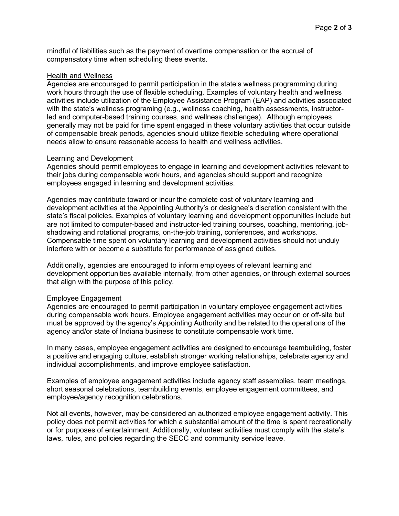mindful of liabilities such as the payment of overtime compensation or the accrual of compensatory time when scheduling these events.

#### Health and Wellness

Agencies are encouraged to permit participation in the state's wellness programming during work hours through the use of flexible scheduling. Examples of voluntary health and wellness activities include utilization of the Employee Assistance Program (EAP) and activities associated with the state's wellness programing (e.g., wellness coaching, health assessments, instructorled and computer-based training courses, and wellness challenges). Although employees generally may not be paid for time spent engaged in these voluntary activities that occur outside of compensable break periods, agencies should utilize flexible scheduling where operational needs allow to ensure reasonable access to health and wellness activities.

## Learning and Development

Agencies should permit employees to engage in learning and development activities relevant to their jobs during compensable work hours, and agencies should support and recognize employees engaged in learning and development activities.

Agencies may contribute toward or incur the complete cost of voluntary learning and development activities at the Appointing Authority's or designee's discretion consistent with the state's fiscal policies. Examples of voluntary learning and development opportunities include but are not limited to computer-based and instructor-led training courses, coaching, mentoring, jobshadowing and rotational programs, on-the-job training, conferences, and workshops. Compensable time spent on voluntary learning and development activities should not unduly interfere with or become a substitute for performance of assigned duties.

Additionally, agencies are encouraged to inform employees of relevant learning and development opportunities available internally, from other agencies, or through external sources that align with the purpose of this policy.

## Employee Engagement

Agencies are encouraged to permit participation in voluntary employee engagement activities during compensable work hours. Employee engagement activities may occur on or off-site but must be approved by the agency's Appointing Authority and be related to the operations of the agency and/or state of Indiana business to constitute compensable work time.

In many cases, employee engagement activities are designed to encourage teambuilding, foster a positive and engaging culture, establish stronger working relationships, celebrate agency and individual accomplishments, and improve employee satisfaction.

Examples of employee engagement activities include agency staff assemblies, team meetings, short seasonal celebrations, teambuilding events, employee engagement committees, and employee/agency recognition celebrations.

Not all events, however, may be considered an authorized employee engagement activity. This policy does not permit activities for which a substantial amount of the time is spent recreationally or for purposes of entertainment. Additionally, volunteer activities must comply with the state's laws, rules, and policies regarding the SECC and community service leave.